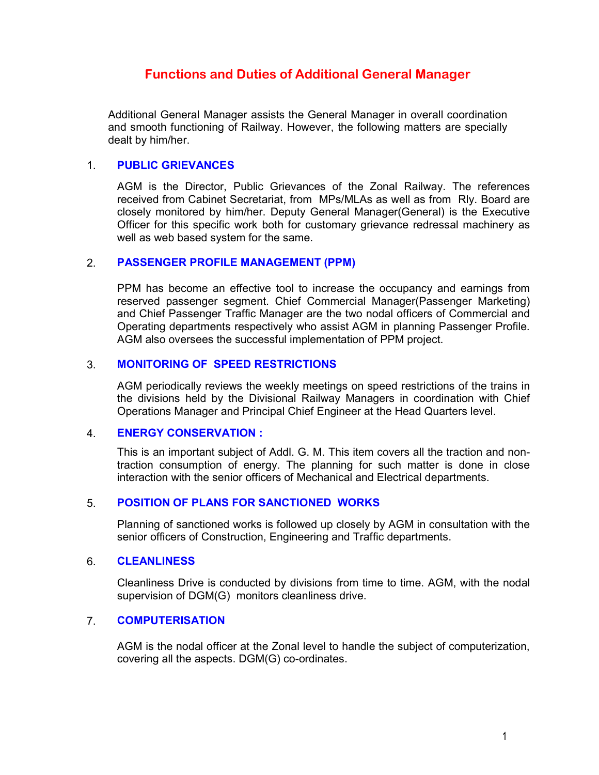# **Functions and Duties of Additional General Manager**

Additional General Manager assists the General Manager in overall coordination and smooth functioning of Railway. However, the following matters are specially dealt by him/her.

#### 1. PUBLIC GRIEVANCES

 AGM is the Director, Public Grievances of the Zonal Railway. The references received from Cabinet Secretariat, from MPs/MLAs as well as from Rly. Board are closely monitored by him/her. Deputy General Manager(General) is the Executive Officer for this specific work both for customary grievance redressal machinery as well as web based system for the same.

## 2. PASSENGER PROFILE MANAGEMENT (PPM)

 PPM has become an effective tool to increase the occupancy and earnings from reserved passenger segment. Chief Commercial Manager(Passenger Marketing) and Chief Passenger Traffic Manager are the two nodal officers of Commercial and Operating departments respectively who assist AGM in planning Passenger Profile. AGM also oversees the successful implementation of PPM project.

## 3. MONITORING OF SPEED RESTRICTIONS

 AGM periodically reviews the weekly meetings on speed restrictions of the trains in the divisions held by the Divisional Railway Managers in coordination with Chief Operations Manager and Principal Chief Engineer at the Head Quarters level.

#### 4. ENERGY CONSERVATION :

 This is an important subject of Addl. G. M. This item covers all the traction and nontraction consumption of energy. The planning for such matter is done in close interaction with the senior officers of Mechanical and Electrical departments.

## 5. POSITION OF PLANS FOR SANCTIONED WORKS

 Planning of sanctioned works is followed up closely by AGM in consultation with the senior officers of Construction, Engineering and Traffic departments.

#### 6. CLEANLINESS

 Cleanliness Drive is conducted by divisions from time to time. AGM, with the nodal supervision of DGM(G) monitors cleanliness drive.

## 7. COMPUTERISATION

 AGM is the nodal officer at the Zonal level to handle the subject of computerization, covering all the aspects. DGM(G) co-ordinates.